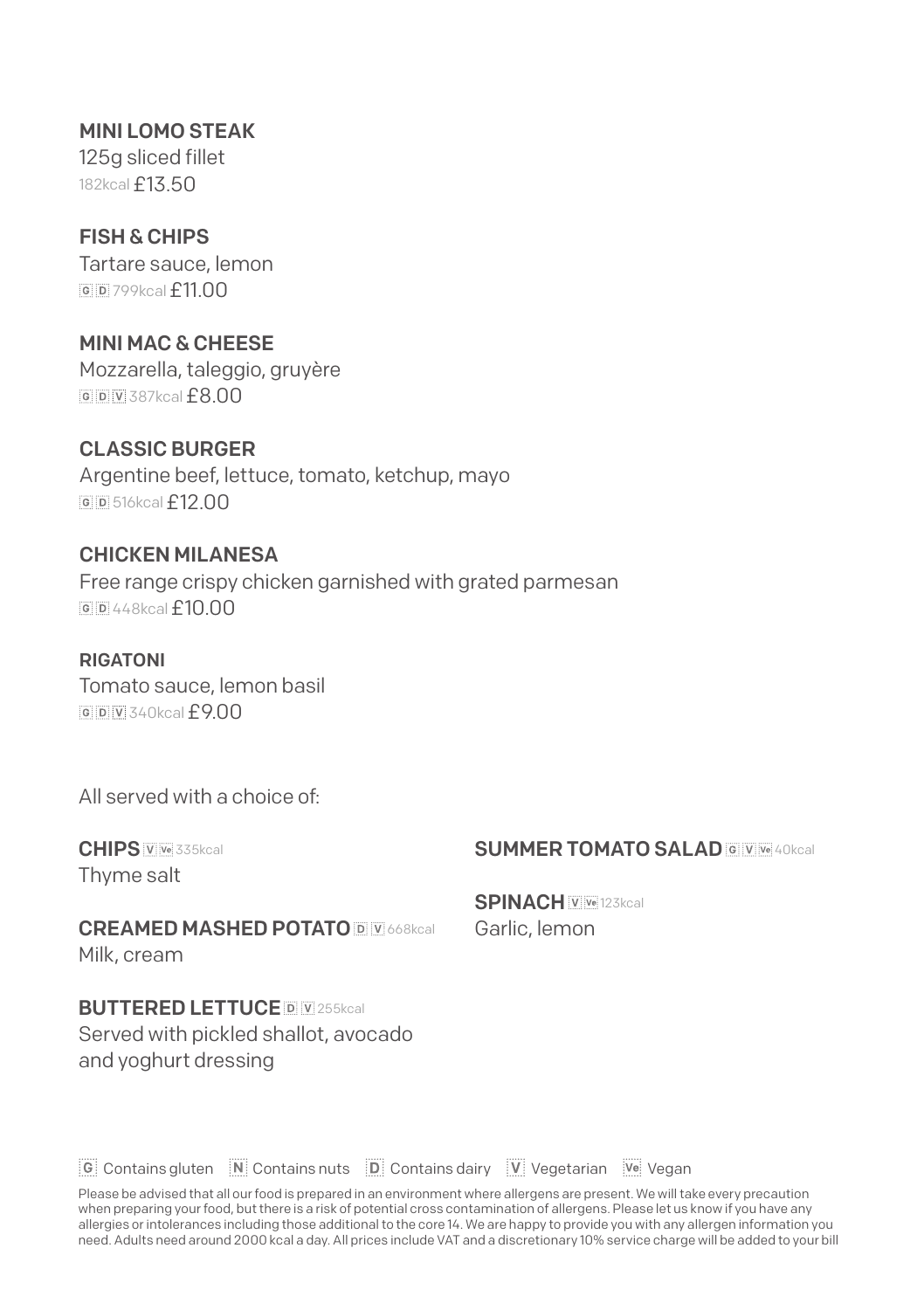MINI LOMO STEAK 125g sliced fillet 182kcal **£13.50** 

FISH & CHIPS Tartare sauce, lemon **6 p** 799kcal  $f$ 11 00

MINI MAC & CHEESE Mozzarella, taleggio, gruyère **6 D V** 387kcal  $f$  **8.00** 

CLASSIC BURGER Argentine beef, lettuce, tomato, ketchup, mayo 516kcal£12.00

CHICKEN MILANESA Free range crispy chicken garnished with grated parmesan  $65448$ kcal $f10.00$ 

RIGATONI Tomato sauce, lemon basil  $340kca$   $f900$ 

All served with a choice of:

CHIPS V Ve 335kcal Thyme salt

**SUMMER TOMATO SAL AD 6 WWW40kcal** 

CREAMED MASHED POTATO **DEPARTICAS** Real Milk, cream

**BUTTERED LETTUCE DEVE255kcal** Served with pickled shallot, avocado and yoghurt dressing

SPINACH WWW123kcal Garlic, lemon

C Contains gluten M Contains nuts [D] Contains dairy [V] Vegetarian [Ve] Vegan

Please be advised that all our food is prepared in an environment where allergens are present. We will take every precaution when preparing your food, but there is a risk of potential cross contamination of allergens. Please let us know if you have any allergies or intolerances including those additional to the core 14. We are happy to provide you with any allergen information you<br>need. Adults need around 2000 kcal a day. All prices include VAT and a discretionary 10% se